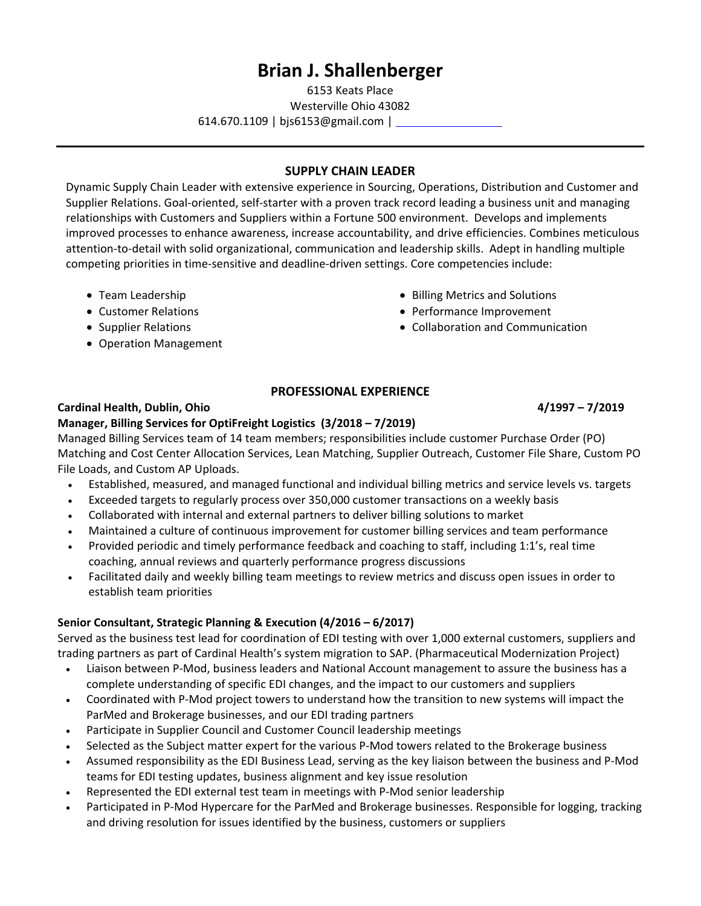# **Brian J. Shallenberger**

6153 Keats Place

Westerville Ohio 43082

614.670.1109 | bjs6153@gmail.com |

## **SUPPLY CHAIN LEADER**

Dynamic Supply Chain Leader with extensive experience in Sourcing, Operations, Distribution and Customer and Supplier Relations. Goal‐oriented, self‐starter with a proven track record leading a business unit and managing relationships with Customers and Suppliers within a Fortune 500 environment. Develops and implements improved processes to enhance awareness, increase accountability, and drive efficiencies. Combines meticulous attention‐to‐detail with solid organizational, communication and leadership skills. Adept in handling multiple competing priorities in time‐sensitive and deadline‐driven settings. Core competencies include:

- Team Leadership
- Customer Relations
- Supplier Relations
- Operation Management
- Billing Metrics and Solutions
- Performance Improvement
- Collaboration and Communication

## **PROFESSIONAL EXPERIENCE**

#### **Cardinal Health, Dublin, Ohio 4/1997 – 7/2019**

## **Manager, Billing Services for OptiFreight Logistics (3/2018 – 7/2019)**

Managed Billing Services team of 14 team members; responsibilities include customer Purchase Order (PO) Matching and Cost Center Allocation Services, Lean Matching, Supplier Outreach, Customer File Share, Custom PO File Loads, and Custom AP Uploads.

- Established, measured, and managed functional and individual billing metrics and service levels vs. targets
- Exceeded targets to regularly process over 350,000 customer transactions on a weekly basis
- Collaborated with internal and external partners to deliver billing solutions to market
- Maintained a culture of continuous improvement for customer billing services and team performance
- Provided periodic and timely performance feedback and coaching to staff, including 1:1's, real time coaching, annual reviews and quarterly performance progress discussions
- Facilitated daily and weekly billing team meetings to review metrics and discuss open issues in order to establish team priorities

## **Senior Consultant, Strategic Planning & Execution (4/2016 – 6/2017)**

Served as the business test lead for coordination of EDI testing with over 1,000 external customers, suppliers and trading partners as part of Cardinal Health's system migration to SAP. (Pharmaceutical Modernization Project)

- Liaison between P‐Mod, business leaders and National Account management to assure the business has a complete understanding of specific EDI changes, and the impact to our customers and suppliers
- Coordinated with P‐Mod project towers to understand how the transition to new systems will impact the ParMed and Brokerage businesses, and our EDI trading partners
- Participate in Supplier Council and Customer Council leadership meetings
- Selected as the Subject matter expert for the various P-Mod towers related to the Brokerage business
- Assumed responsibility as the EDI Business Lead, serving as the key liaison between the business and P‐Mod teams for EDI testing updates, business alignment and key issue resolution
- Represented the EDI external test team in meetings with P‐Mod senior leadership
- Participated in P‐Mod Hypercare for the ParMed and Brokerage businesses. Responsible for logging, tracking and driving resolution for issues identified by the business, customers or suppliers